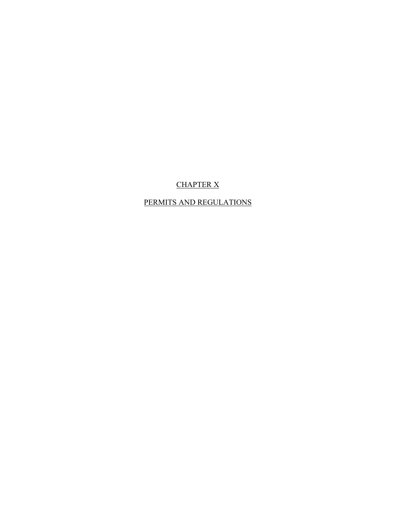# CHAPTER X

# PERMITS AND REGULATIONS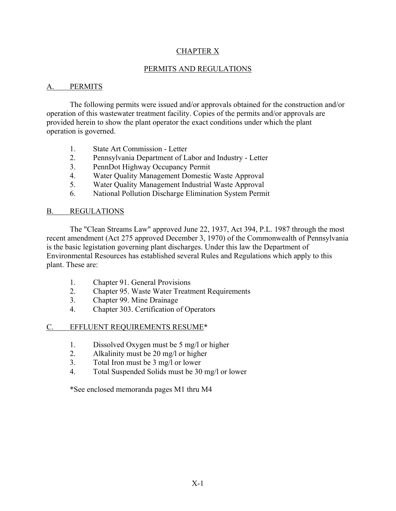# CHAPTER X

## PERMITS AND REGULATIONS

## A. PERMITS

The following permits were issued and/or approvals obtained for the construction and/or operation of this wastewater treatment facility. Copies of the permits and/or approvals are provided herein to show the plant operator the exact conditions under which the plant operation is governed.

- 1. State Art Commission Letter
- 2. Pennsylvania Department of Labor and Industry Letter
- 3. PennDot Highway Occupancy Permit
- 4. Water Quality Management Domestic Waste Approval
- 5. Water Quality Management Industrial Waste Approval
- 6. National Pollution Discharge Elimination System Permit

## B. REGULATIONS

The "Clean Streams Law" approved June 22, 1937, Act 394, P.L. 1987 through the most recent amendment (Act 275 approved December 3, 1970) of the Commonwealth of Pennsylvania is the basic legistation governing plant discharges. Under this law the Department of Environmental Resources has established several Rules and Regulations which apply to this plant. These are:

- 1. Chapter 91. General Provisions
- 2. Chapter 95. Waste Water Treatment Requirements
- 3. Chapter 99. Mine Drainage
- 4. Chapter 303. Certification of Operators

## C. EFFLUENT REQUIREMENTS RESUME\*

- 1. Dissolved Oxygen must be 5 mg/l or higher
- 2. Alkalinity must be 20 mg/l or higher
- 3. Total Iron must be 3 mg/l or lower
- 4. Total Suspended Solids must be 30 mg/l or lower

\*See enclosed memoranda pages M1 thru M4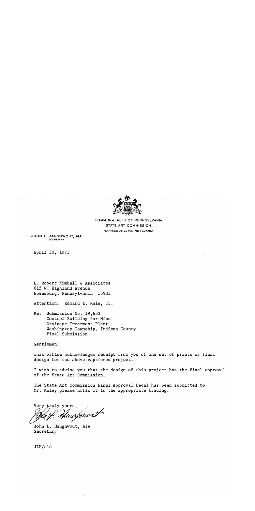

COMMONWEALTH OF PENNSYLVANIA STATE ART COMMISSION HARRISBURG, PENNSYLVANIA

JOHN L. HAUGHWOUT, AIA **SECRETARY** 

April 30, 1975

L. Robert Kimball & Associates 615 W. Highland Avenue Ebensburg, Pennsylvania 15931

Attention: Edward E. Kale, Jr.

Re: Submission No. 19,633 Control Building for Mine Drainage Treatment Plant Washington Township, Indiana County Final Submission

Gentlemen:

This office acknowledges receipt from you of one set of prints of final design for the above captioned project.

I wish to advise you that the design of this project has the final approval of the State Art Commission.

The State Art Commission Final Approval Decal has been submitted to Mr. Kale; please affix it to the appropriate tracing.

Very truly yours, tuurfuurat

John L. Haughwout, AIA Secretary

JLH/cld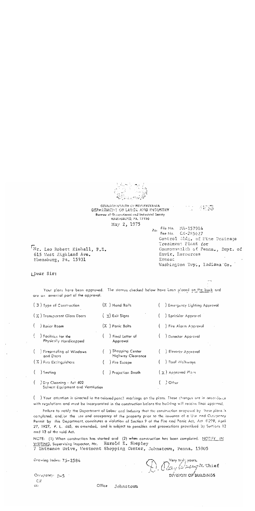

COMMONWEALTH OF PENNSYLVANIA DEPARTMENT OF LABOR AND INDUSTRY Bureau of Occupational and Industrial Sarety HARKISBUSG, PA. 17120 May 2, 1975

Re: File No. MA-157914 Fee No. CX-285627 Control 31dg, of Mine Drainage Treatment Plant for Commonwealth of Penna., Dept. of Envir. Resources Ernest Washington Twp., Indiana Co.

 $D.$   $D_{\alpha}$   $D_{\alpha}$   $D_{\alpha}$   $D_{\alpha}$   $D_{\alpha}$   $D_{\alpha}$   $D_{\alpha}$   $D_{\alpha}$   $D_{\alpha}$   $D_{\alpha}$   $D_{\alpha}$   $D_{\alpha}$   $D_{\alpha}$   $D_{\alpha}$   $D_{\alpha}$   $D_{\alpha}$   $D_{\alpha}$   $D_{\alpha}$   $D_{\alpha}$   $D_{\alpha}$   $D_{\alpha}$   $D_{\alpha}$   $D_{\alpha}$   $D_{\alpha}$   $D_{\alpha}$   $D_{\alpha}$   $D_{\alpha}$ 

不犯人

Mr. Leo Robert Kimball, P.E. 615 West Highland Ave. Ebensburg, Pa. 15931

[Dear Sir:

Your plans have been approved. The stamps checked below have been placed on the back and are an essential part of the approval.

| (3) Type of Construction                                            | $(X1)$ Hand Rails                      | Emergency Lighting Approval |
|---------------------------------------------------------------------|----------------------------------------|-----------------------------|
| (X) Transparent Glass Doors                                         | $(x)$ Exit Signs                       | Sprinkler Approval          |
| ( ) Boiler Room                                                     | $(X)$ Panic Bolts                      | Fire Alarm Approval         |
| $($ $)$ Facilities for the<br>Physically Handicapped                | Final Letter of<br>Approval            | ) Detector Approval         |
| () Firepreafing of Windows<br>and Docrs                             | Shopping Center (<br>Highway Clearance | ) Elevator Approval         |
| (X) Fire Extinguishers                                              | Fire Escape                            | ) Roof Walkways             |
| ( ) Seating                                                         | ) Projection Booth                     | $(X)$ Approved Plans        |
| $($ $)$ Dry Cleaning - Act 402<br>Solvent Equipment and Ventilation |                                        | Other                       |

( - ) Your attention is directed to the colored pencil markings on the plans. These changes are in accordance with regulations and must be incorporated in the construction before the building will receive final approval.

Failure to notify the Department of Labor and Industry that the construction proposed by these plans is completed, and/or the use and occupancy of the property prior to the issuance of a Use and Occupancy Permit by this Department, constitutes a violation of Section 9 of the Fire and Panic Act, Act #299, April 27, 1927, P. L. 465, as omended, and is subject to penalties and prosecutions prescribed by Sections 12 and 13 of the said Act.

NGTE: (1) When construction has started and (2) when construction has been completed, NOTEY IN WRITING, Supervising Inspector, Mr. Harold E. Shepley 7 Entrance Drive, Westmont Shopping Center, Johnstown, Penna. 15905

Drawing Index: 75-2584

Orcupancy: D=5 CM. CC:

Office Johnstown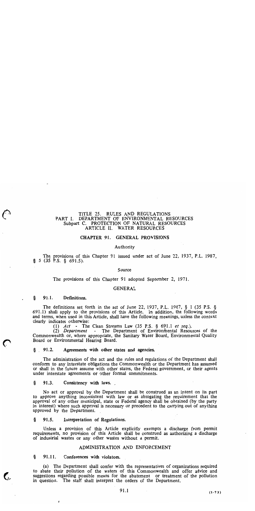### TITLE 25. RULES AND REGULATIONS PART I. DEPARTMENT OF ENVIRONMENTAL RESOURCES Subpart C. PROTECTION OF NATURAL RESOURCES ARTICLE II. WATER RESOURCES

### CHAPTER 91. GENERAL PROVISIONS

### Authority

The provisions of this Chapter 91 issued under act of June 22, 1937, P.L. 1987,  $\S$  5 (35 P.S.  $\S$  691.5).

### Source

The provisions of this Chapter 91 adopted September 2, 1971.

### **GENERAL**

#### 91.1. Definitions. ş

The definitions set forth in the act of June 22, 1937, P.L. 1987,  $\S$  1 (35 P.S.  $\S$ 691.1) shall apply to the provisions of this Article. In addition, the following words and terms, when used in this Article, shall have the following meanings, unless the context clearly indicates otherwise:

(1)  $Act$  - The Clean Streams Law (35 P.S. § 691.1 et seq.).

(2) Department - The Department of Environmental Resources of the Commonwealth or, where appropriate, the Sanitary Water Board, Environmental Quality Board or Environmental Hearing Board.

### $\S$  91.2. Agreements with other states and agencies.

The administration of the act and the rules and regulations of the Department shall conform to any interstate obligations the Commonwealth or the Department has assumed or shall in the future assume with other states, the Federal government, or their agents under interstate agreements or other formal commitments.

ş 91.3. Consistency with laws.

No act or approval by the Department shall be construed as an intent on its part to approve anything inconsistent with law or as abrogating the requirement that the approval of any other municipal, state or Federal agency shall be obtained (by the party in interest) where such approval is necessary or precedent to the carrying out of anything approved by the Department.

#### 91.5. Interpretation of Regulations. ş

Unless a provision of this Article explicitly exempts a discharge from permit requirements, no provision of this Article shall be construed as authorizing a discharge of industrial wastes or any other wastes without a permit.

### ADMINISTRATION AND ENFORCEMENT

ş 91.11. Conferences with violators.

(a) The Department shall confer with the representatives of organizations required to abate their pollution of the waters of this Commonwealth and offer advice and suggestions regarding possible means for the abatement or treatment of the pollution in question. The staff shall interpret the orders of the Department.

 $(5 - 73)$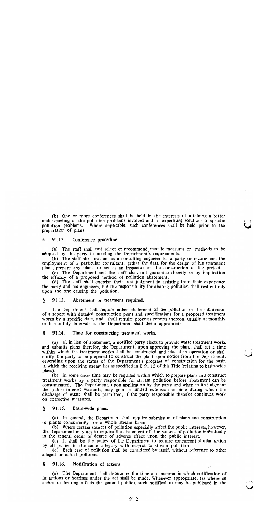(b) One or more conferences shall be held in the interests of attaining a better understanding of the pollution problems involved and of expediting solutions to specific Where applicable, such conferences shall be held prior to the pollution problems. preparation of plans.

#### 91.12. Conference procedure. ş

(a) The staff shall not select or recommend specific measures or methods to be adopted by the party in meeting the Department's requirements.

(b) The staff shall not act as a consulting engineer for a party or recommend the employment of a particular consultant, gather the data for the design of his treatment plant, prepare any plans, or act as an inspector on the construction of the project.

(c) The Department and the staff shall not guarantee directly or by implication the efficacy of a proposed method of pollution abatement.

(d) The staff shall exercise their best judgment in assisting from their experience the party and his engineers, but the responsibility for abating pollution shall rest entirely upon the one causing the pollution.

#### §. 91.13. Abatement or treatment required.

The Department shall require either abatement of the pollution or the submission of a report with detailed construction plans and specifications for a proposed treatment works by a specific date, and shall require progress reports thereon, usually at monthly or bi-monthly intervals as the Department shall deem appropriate.

#### ş 91.14. Time for constructing treatment works.

(a) If, in lieu of abatement, a notified party elects to provide waste treatment works and submits plans therefor, the Department, upon approving the plans, shall set a time within which the treatment works shall be constructed and placed in operation or shall notify the party to be prepared to construct the plant upon notice from the Department, depending upon the status of the Department's program of construction for the basin<br>in which the receiving stream lies as specified in  $\S$  91.15 of this Title (relating to basin-wide plans).

(b) In some cases time may be required within which to prepare plans and construct treatment works by a party responsible for stream pollution before abatement can be consummated. The Department, upon application by the party and when in its judgment the public interest warrants, may grant a limited extension of time during which the discharge of waste shall be permitted, if the party responsible therefor continues work on corrective measures.

#### Ş 91.15. Basin-wide plans.

(a) In general, the Department shall require submission of plans and construction of plants concurrently for a whole stream basin.

(b) Where certain sources of pollution especially affect the public interests, however, the Department may act to require the abatement of the sources of pollution individually in the general order of degree of adverse effect upon the public interest.

(c) It shall be the policy of the Department to require concurrent similar action by all parties in the same category with respect to stream pollution.

(d) Each case of pollution shall be considered by itself, without reference to other alleged or actual polluters.

#### ş 91.16. Notification of actions.

(a) The Department shall determine the time and manner in which notification of its actions or hearings under the act shall be made. Whenever appropriate, (as where an action or hearing affects the general public), such notification may be published in the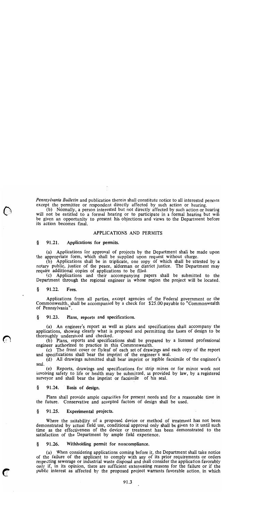*Pennsylvania Bulletin* and publication therein shall constitute notice to all interested persons except the permittee or respondent directly affected by such action or hearing.

(b) Normally, a person interested but not directly affected by such action or hearing will not be entitled to a formal hearing or to participate in a formal hearing but will be given an opportunity to present his objections and views to the Department before its action becomes final.

### APPLICATIONS AND PERMITS

#### 91.21. §. Applications for permits.

(a) Applications for approval of projects by the Department shall be made upon the appropriate form, which shall be supplied upon request without charge.

(b) Applications shall be in triplicate, one copy of which shall be attested by a notary public, justice of the peace, alderman or district justice. The Department may require additional copies of applications to be filed.

(c) Applications and their accompanying papers shall be submitted to the Department through the regional engineer in whose region the project will be located.

#### §. 91.22. Fees.

Applications from all parties, except agencies of the Federal government or the Commonwealth, shall be accompanied by a check for \$25.00 payable to "Commonwealth" of Pennsylvania".

#### §. 91.23. Plans, reports and specifications.

(a) An engineer's report as well as plans and specifications shall accompany the applications, showing clearly what is proposed and permitting the bases of design to be thoroughly understood and checked.

(b) Plans, reports and specifications shall be prepared by a licensed professional engineer authorized to practice in this Commonwealth.

(c) The front cover or flyleaf of each set of drawings and each copy of the report and specifications shall bear the imprint of the engineer's seal.

(d) All drawings submitted shall bear imprint or legible facsimile of the engineer's seal.

(e) Reports, drawings and specifications for strip mines or for minor work not involving safety to life or health may be submitted, as provided by law, by a registered surveyor and shall bear the imprint or facsimile of his seal.

§. 91.24. Basis of design.

Plans shall provide ample capacities for present needs and for a reasonable time in the future. Conservative and accepted factors of design shall be used.

§ 91.25. Experimental projects.

Where the suitability of a proposed device or method of treatment has not been demonstrated by actual field use, conditional approval only shall be given to it until such time as the effectiveness of the device or treatment has been demonstrated to the satisfaction of the Department by ample field experience.

#### 91.26. Withholding permit for noncompliance. ş

(a) When considering applications coming before it, the Department shall take notice of the failure of the applicant to comply with any of its prior requirements or orders respecting sewerage or industrial waste disposal and shall consider the application favorably only if, in its opinion, there are sufficient extenuating reasons for the failure or if the public interest as affected by the proposed project warrants favorable action, in which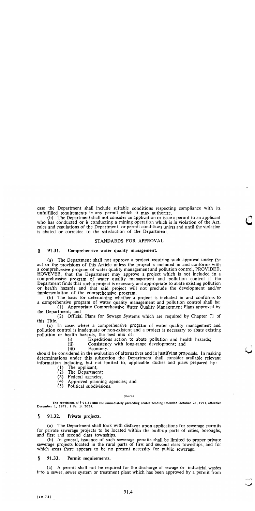case the Department shall include suitable conditions respecting compliance with its unfulfilled requirements in any permit which it may authorize.

(b) The Department shall not consider an application or issue a permit to an applicant who has conducted or is conducting a mining operation which is in violation of the Act, rules and regulations of the Department, or permit conditions unless and until the violation is abated or corrected to the satisfaction of the Department.

### STANDARDS FOR APPROVAL

#### § 91.31. Comprehensive water quality management.

(a) The Department shall not approve a project requiring such approval under the act or the provisions of this Article unless the project is included in and conforms with a comprehensive program of water quality management and pollution control, PROVIDED, HOWEVER, that the Department may approve a project which is not included in a comprehensive program of water quality management and pollution control if the Department finds that such a project is necessary and appropriate to abate existing pollution or health hazards and that said project will not preclude the development and/or implementation of the comprehensive program.

(b) The basis for determining whether a project is included in and conforms to a comprehensive program of water quality management and pollution control shall be:

(1) Appropriate Comprehensive Water Quality Management Plans approved by the Department; and

(2) Official Plans for Sewage Systems which are required by Chapter 71 of this Title.

(c) In cases where a comprehensive program of water quality management and pollution control is inadequate or non-existent and a project is necessary to abate existing pollution or health hazards, the best mix of:

> $(i)$ Expeditious action to abate pollution and health hazards;

 $(ii)$ Consistency with long-range development; and

 $(iii)$ Economy.

should be considered in the evaluation of alternatives and in justifying proposals. In making determinations under this subsection the Department shall consider available relevant information including, but not limited to, applicable studies and plans prepared by:

- 
- (1) The applicant;<br>(2) The Department;

(3) Federal agencies;

- (4) Approved planning agencies; and
- (5) Political subdivisions.

### Source

The provisions of § 91.31 and the immediately preceding center heading amended October 21, 1971, effective December 1, 1971, 1 Pa. B. 2035.

#### Ş 91.32. Private projects.

(a) The Department shall look with disfavor upon applications for sewerage permits for private sewerage projects to be located within the built-up parts of cities, boroughs, and first and second class townships.

(b) In general, issuance of such sewerage permits shall be limited to proper private sewerage projects located in the rural parts of first and second class townships, and for which areas there appears to be no present necessity for public sewerage.

#### 91.33. Permit requirements. ş.

(a) A permit shall not be required for the discharge of sewage or industrial wastes into a sewer, sewer system or treatment plant which has been approved by a permit from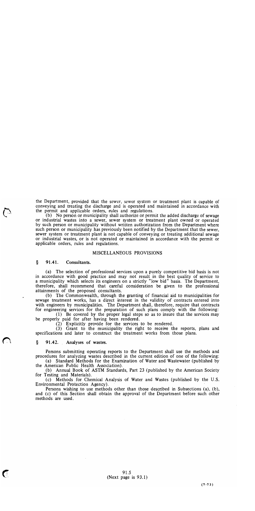the Department, provided that the sewer, sewer system or treatment plant is capable of conveying and treating the discharge and is operated and maintained in accordance with the permit and applicable orders, rules and regulations.

(b) No person or municipality shall authorize or permit the added discharge of sewage or industrial wastes into a sewer, sewer system or treatment plant owned or operated by such person or municipality without written authorization from the Department where such person or municipality has previously been notified by the Department that the sewer. sewer system or treatment plant is not capable of conveying or treating additional sewage or industrial wastes, or is not operated or maintained in accordance with the permit or applicable orders, rules and regulations.

### MISCELLANEOUS PROVISIONS

#### ş 91.41. Consultants.

(a) The selection of professional services upon a purely competitive bid basis is not in accordance with good practice and may not result in the best quality of service to<br>a municipality which selects its engineers on a strictly "low bid" basis. The Department, therefore, shall recommend that careful consideration be given to the professional attainments of the proposed consultants.

(b) The Commonwealth, through the granting of financial aid to municipalities for sewage treatment works, has a direct interest in the validity of contracts entered into with engineers by municipalities. The Department shall, therefore, require that contracts for engineering services for the preparation of such plans comply with the following:

(1) Be covered by the proper legal steps so as to insure that the services may be properly paid for after having been rendered.

(2) Explicitly provide for the services to be rendered.

(3) Grant to the municipality the right to receive the reports, plans and specifications and later to construct the treatment works from those plans.

### ş 91.42. Analyses of wastes.

 $\blacksquare$ 

Persons submitting operating reports to the Department shall use the methods and procedures for analyzing wastes described in the current edition of one of the following:

(a) Standard Methods for the Examination of Water and Wastewater (published by the American Public Health Association).

(b) Annual Book of ASTM Standards, Part 23 (published by the American Society for Testing and Materials).

(c) Methods for Chemical Analysis of Water and Wastes (published by the U.S. Environmental Protection Agency).

Persons wishing to use methods other than those described in Subsections (a), (b), and (c) of this Section shall obtain the approval of the Department before such other methods are used.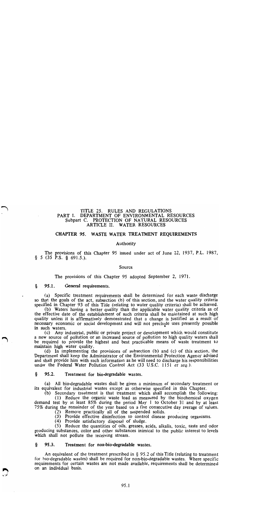### TITLE 25. RULES AND REGULATIONS PART I. DEPARTMENT OF ENVIRONMENTAL RESOURCES Subpart C. PROTECTION OF NATURAL RESOURCES ARTICLE II. WATER RESOURCES

### CHAPTER 95. WASTE WATER TREATMENT REQUIREMENTS

### Authority

The provisions of this Chapter 95 issued under act of June 22, 1937, P.L. 1987,  $\S$  5 (35 P.S. § 691.5.).

### Source

The provisions of this Chapter 95 adopted September 2, 1971.

#### ş 95.1. General requirements.

(a) Specific treatment requirements shall be determined for each waste discharge so that the goals of the act, subsection (b) of this section, and the water quality criteria specified in Chapter 93 of this Title (relating to water quality criteria) shall be achieved.

(b) Waters having a better quality than the applicable water quality criteria as of the effective date of the establishment of such criteria shall be maintained at such high quality unless it is affirmatively demonstrated that a change is justified as a result of necessary economic or social development and will not preclude uses presently possible in such waters.

(c) Any industrial, public or private project or development which would constitute a new source of pollution or an increased source of pollution to high quality waters shall be required to provide the highest and best practicable means of waste treatment to maintain high water quality.

(d) In implementing the provisions of subsection (b) and (c) of this section, the Department shall keep the Administrator of the Environmental Protection Agency advised and shall provide him with such information as he will need to discharge his responsibilities under the Federal Water Pollution Control Act (33 U.S.C. 1151 et seq.).

#### ş 95.2. Treatment for bio-degradable wastes.

(a) All bio-degradable wastes shall be given a minimum of secondary treatment or its equivalent for industrial wastes except as otherwise specified in this Chapter.

(b) Secondary treatment is that treatment which shall accomplish the following:

(1) Reduce the organic waste load as measured by the biochemical oxygen demand test by at least 85% during the period May 1 to October 31 and by at least 75% during the remainder of the year based on a five consecutive day average of values.

(2) Remove practically all of the suspended solids.

(3) Provide effective disinfection to control disease producing organisms.

(4) Provide satisfactory disposal of sludge.

(5) Reduce the quantities of oils, greases, acids, alkalis, toxic, taste and odor producing substances, color and other substances inimical to the public interest to levels which shall not pollute the receiving stream.

#### §. 95.3. Treatment for non-bio-degradable wastes.

An equivalent of the treatment prescribed in  $\S$  95.2 of this Title (relating to treatment for bio-degradable wastes) shall be required for non-bio-degradable wastes. Where specific requirements for certain wastes are not made available, requirements shall be determined on an individual basis.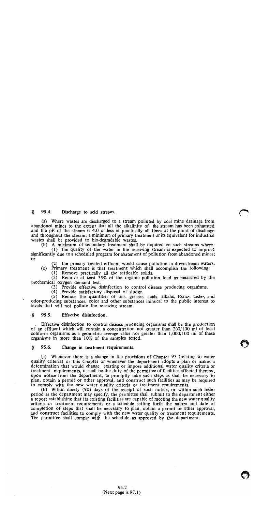#### $95.4.$ § I Discharge to acid stream.

(a) Where wastes are discharged to a stream polluted by coal mine drainage from abandoned mines to the extent that all the alkalinity of the stream has been exhausted and the pH of the stream is 4.0 or less at practically all times at the point of discharge and throughout the stream, a minimum of primary treatment or its equivalent for industrial wastes shall be provided to bio-degradable wastes.

(b) A minimum of secondary treatment shall be required on such streams where:

(1) the quality of the water in the receiving stream is expected to improve significantly due to a scheduled program for abatement of pollution from abandoned mines;  $\Omega$ 

(2) the primary treated effluent would cause pollution in downstream waters.

(c) Primary treatment is that treatment which shall accomplish the following:

(1) Remove practically all the settleable solids.

(2) Remove at least 35% of the organic pollution load as measured by the biochemical oxygen demand test.

(3) Provide effective disinfection to control disease producing organisms.

(4) Provide satisfactory disposal of sludge.

(5) Reduce the quantities of oils, greases, acids, alkalis, toxic-, taste-, and odor-producing substances, color and other substances inimical to the public interest to levels that will not pollute the receiving stream.

#### ş 95.5. Effective disinfection.

Effective disinfection to control disease producing organisms shall be the production of an effluent which will contain a concentration not greater than 200/100 ml of fecal coliform organisms as a geometric average value nor greater than  $1,000/100$  ml of these organisms in more than 10% of the samples tested.

#### §. 95.6. Change in treatment requirements.

(a) Whenever there is a change in the provisions of Chapter 93 (relating to water quality criteria) or this Chapter or whenever the department adopts a plan or makes a determination that would change existing or impose additional water quality criteria or treatment requirements, it shall be the duty of the permittee of facilities affected thereby, upon notice from the department, to promptly take such steps as shall be necessary to plan, obtain a permit or other approval, and construct such facilities as may be required to comply with the new water quality criteria or treatment requirements.

(b) Within ninety (90) days of the receipt of such notice, or within such lesser period as the department may specify, the permittee shall submit to the department either a report establishing that its existing facilities are capable of meeting the new water quality criteria or treatment requirements or a schedule setting forth the nature and date of completion of steps that shall be necessary to plan, obtain a permit or other approval, and construct facilities to comply with the new water quality or treatment requirements. The permittee shall comply with the schedule as approved by the department.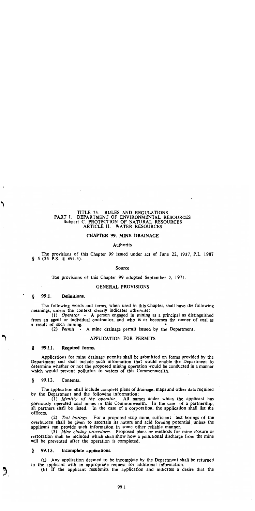### TITLE 25. RULES AND REGULATIONS PART I. DEPARTMENT OF ENVIRONMENTAL RESOURCES Subpart C. PROTECTION OF NATURAL RESOURCES ARTICLE II. WATER RESOURCES

## **CHAPTER 99. MINE DRAINAGE**

### Authority

The provisions of this Chapter 99 issued under act of June 22, 1937, P.L. 1987  $§$  5 (35 P.S. § 691.5).

### Source

The provisions of this Chapter 99 adopted September 2, 1971.

### **GENERAL PROVISIONS**

### 99.1. Definitions.

The following words and terms, when used in this Chapter, shall have the following meanings, unless the context clearly indicates otherwise:

(1) Operator - A person engaged in mining as a principal as distinguished from an agent or individual contractor, and who is or becomes the owner of coal as a result of such mining.

(2) Permit  $\cdot$  A mine drainage permit issued by the Department.

### APPLICATION FOR PERMITS

#### 99.11. Required forms. §.

Applications for mine drainage permits shall be submitted on forms provided by the Department and shall include such information that would enable the Department to determine whether or not the proposed mining operation would be conducted in a manner which would prevent pollution to waters of this Commonwealth.

99.12. Contents. ş

The application shall include complete plans of drainage, maps and other data required by the Department and the following information:

(1) Identity of the operator. All names under which the applicant has previously operated coal mines in this Commonwealth. In the case of a partnership, all partners shall be listed. In the case of a corporation, the application shall list the officers.

(2) Test borings. For a proposed strip mine, sufficient test borings of the overburden shall be given to ascertain its nature and acid forming potential, unless the applicant can provide such information in some other reliable manner.

(3) Mine closing procedures. Proposed plans or methods for mine closure or restoration shall be included which shall show how a pollutional discharge from the mine will be prevented after the operation is completed.

99.13. Incomplete applications. ş

(a) Any application deemed to be incomplete by the Department shall be returned to the applicant with an appropriate request for additional information.

(b) If the applicant resubmits the application and indicates a desire that the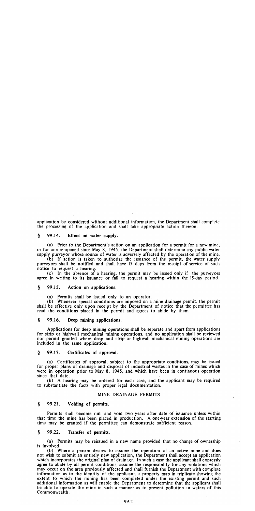application be considered without additional information, the Department shall complete the processing of the application and shall take appropriate action thereon.

#### $\boldsymbol{\delta}$ 99.14. Effect on water supply.

(a) Prior to the Department's action on an application for a permit for a new mine. or for one re-opened since May 8, 1945, the Department shall determine any public water supply purvey or whose source of water is adversely affected by the operation of the mine.

(b) If action is taken to authorize the issuance of the permit, the water supply purveyors shall be notified and shall have 15 days from the receipt of service of such notice to request a hearing.

(c) In the absence of a hearing, the permit may be issued only if the purveyors agree in writing to its issuance or fail to request a hearing within the 15-day period.

#### 99.15.  $\delta$ Action on applications.

(a) Permits shall be issued only to an operator.

(b) Whenever special conditions are imposed on a mine drainage permit, the permit shall be effective only upon receipt by the Department of notice that the permittee has read the conditions placed in the permit and agrees to abide by them.

#### $\boldsymbol{\xi}$ 99.16. Deep mining applications.

Applications for deep mining operations shall be separate and apart from applications for strip or highwall mechanical mining operations, and no application shall be reviewed nor permit granted where deep and strip or highwall mechanical mining operations are included in the same application.

#### 99.17.  $\delta$ Certificates of approval.

(a) Certificates of approval, subject to the appropriate conditions, may be issued for proper plans of drainage and disposal of industrial wastes in the case of mines which were in operation prior to May 8, 1945, and which have been in continuous operation since that date.

(b) A hearing may be ordered for each case, and the applicant may be required to substantiate the facts with proper legal documentation.

### MINE DRAINAGE PERMITS

#### $\S$ 99.21. Voiding of permits.

Permits shall become null and void two years after date of issuance unless within that time the mine has been placed in production. A one-year extension of the starting time may be granted if the permittee can demonstrate sufficient reason.

#### -S 99.22. Transfer of permits.

(a) Permits may be reissued in a new name provided that no change of ownership is involved.

(b) Where a person desires to assume the operation of an active mine and does not wish to submit an entirely new application, the Department shall accept an application which incorporates the original plan of drainage. In such a case the applicant shall expressly agree to abide by all permit conditions, assume the responsibility for any violations which may occur on the area previously affected and shall furnish the Department with complete information as to the identity of the applicant, a property map in triplicate showing the extent to which the mining has been completed under the existing permit and such additional information as will enable the Department to determine that the applicant shall be able to operate the mine in such a manner as to prevent pollution to waters of this Commonwealth.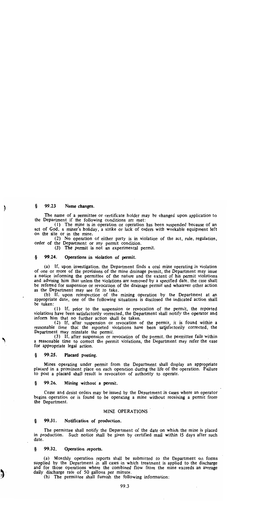#### 99.23 ş Name changes.

€

3

The name of a permittee or certificate holder may be changed upon application to the Department if the following conditions are met:

(1) The mine is in operation or operation has been suspended because of an act of God, a miner's holiday, a strike or lack of orders with workable equipment left on the site or in the mine.

(2) No operation of either party is in violation of the act, rule, regulation, order of the Department or any permit condition.

(3) The permit is not an experimental permit.

#### 99.24. Ş. Operations in violation of permit.

(a) If, upon investigation, the Department finds a coal mine operating in violation of one or more of the provisions of the mine drainage permit, the Department may issue a notice informing the permittee of the nature and the extent of his permit violations and advising him that unless the violations are removed by a specified date, the case shall be referred for suspension or revocation of the drainage permit and whatever other action as the Department may see fit to take.

(b) If, upon reinspection of the mining operation by the Department at an appropriate date, one of the following situations is disclosed the indicated action shall be taken:

(1) If, prior to the suspension or revocation of the permit, the reported violations have been satisfactorily corrected, the Department shall notify the operator and inform him that no further action shall be taken.

(2) If, after suspension or revocation of the permit, it is found within a reasonable time that the reported violations have been satisfactorily corrected, the Department may reinstate the permit.<br>(3) If, after suspension or revocation of the permit, the permittee fails within

a reasonable time to correct the permit violations, the Department may refer the case for appropriate legal action.

#### 99.25. Ş Placard posting.

Mines operating under permit from the Department shall display an appropriate placard in a prominent place on each operation during the life of the operation. Failure to post a placard shall result in revocation of authority to operate.

#### 99.26. ş Mining without a permit.

Cease and desist orders may be issued by the Department in cases where an operator begins operation or is found to be operating a mine without receiving a permit from the Department.

### MINE OPERATIONS

#### Ş 99.31. Notification of production.

The permittee shall notify the Department of the date on which the mine is placed in production. Such notice shall be given by certified mail within 15 days after such date.

#### 99.32. §. Operation reports.

(a) Monthly operation reports shall be submitted to the Department on forms supplied by the Department in all cases in which treatment is applied to the discharge and for those operations where the combined flow from the mine exceeds an average daily discharge rate of 50 gallons per minute.

(b) The permittee shall furnish the following information: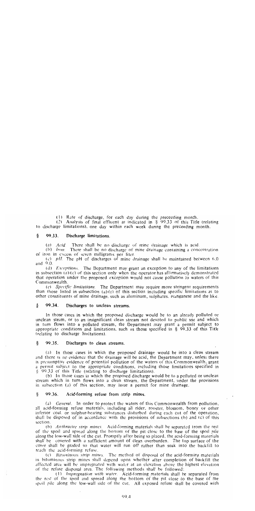(1) Rate of discharge, for each day during the preceeding month.

(2) Analysis of final effluent as indicated in § 99.33 of this Title (relating to discharge limitations), one day within each week during the preceeding month.

#### Ş. 99.33. Discharge limitations.

 $(a)$  *Acid.* There shall be no discharge of mine drainage which is acid.

(b) Iron. There shall be no discharge of mine drainage containing a concentration of iron in excess of seven milligrams per liter.

(c)  $pH$ . The pH of discharges of mine drainage shall be maintained between 6.0 and  $9.0$ .

(d) Exceptions. The Department may grant an exception to any of the limitations in subsection (a)-(c) of this section only when the operator has affirmatively demonstrated that operation under the proposed exception would not cause pollution to waters of this Commonwealth.

(e) Specific limitations. The Department may require more stringent requirements than those listed in subsection (a)-(c) of this section including specific limitations as to other constituents of mine drainage, such as aluminum, sulphates, manganese and the like.

#### 99.34. Ş Discharges to unclean streams.

In those cases in which the proposed discharge would be to an already polluted or unclean steam, or to an insignificant clean stream not devoted to public use and which in turn flows into a polluted stream, the Department may grant a permit subject to appropriate conditions and limitations, such as those specified in  $\S$  99.33 of this Title (relating to discharge limitations).

#### Ş 99.35. Discharges to clean streams.

(a) In those cases in which the proposed drainage would be into a clean stream and there is no evidence that the drainage will be acid, the Department may, unless there is presumptive evidence of potential pollution of the waters of this Commonwealth, grant a permit subject to the appropriate conditions, including those limitations specified in § 99.33 of this Title (relating to discharge limitations).

(b) In those cases in which the proposed discharge would be to a polluted or unclean stream which in turn flows into a clean stream, the Department, under the provisions in subsection (a) of this section, may issue a permit for mine drainage.

#### 99.36. Ş. Acid-forming refuse from strip mines.

(a) *General*. In order to protect the waters of this Commonwealth from pollution, all acid-forming refuse materials, including all rider, rooster, blossom, boney or other inferior coal, or sulphur-bearing substances disturbed during each cut of the operation, shall be disposed of in accordance with the provisions of subsections  $(b)$  and  $(c)$  of this section.

(b) Anthracite strip mines. Acid-forming materials shall be separated from the rest of the spoil and spread along the bottom of the pit close to the base of the spoil pile along the low-wall side of the cut. Promptly after being so placed, the acid-forming materials shall be covered with a sufficient amount of clean overburden. The top surface of the cover shall be graded so that water will run off rather than soak into the backfill to reach the acid-forming refuse.

(c) *Bituminous strip mines*. The method of disposal of the acid-forming materials in bituminous strip mines shall depend upon whether after completion of backfill the affected area will be impregnated with water at an elevation above the highest elevation of the refuse disposal area. The following methods shall be followed:

(1) *Impregnation with water*. Acid-forming materials shall be separated from the rest of the spoil and spread along the bottom of the pit close to the base of the spoil pile along the low-wall side of the cut. All exposed refuse shall be covered with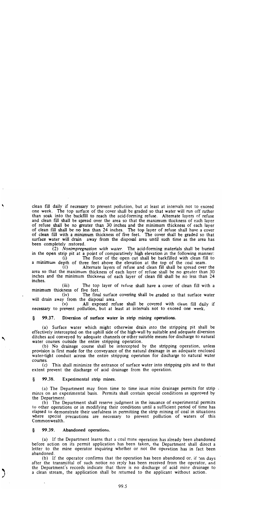clean fill daily if necessary to prevent pollution, but at least at intervals not to exceed one week. The top surface of the cover shall be graded so that water will run off rather than soak into the backfill to reach the acid-forming refuse. Alternate layers of refuse and clean fill shall be spread over the area so that the maximum thickness of each layer of refuse shall be no greater than 30 inches and the minimum thickness of each layer of clean fill shall be no less than 24 inches. The top layer of refuse shall have a cover of clean fill with a minimum thickness of five feet. The cover shall be graded so that surface water will drain away from the disposal area until such time as the area has been completely restored.

(2) Nonimpregnation with water. The acid-forming materials shall be buried in the open strip pit at a point of comparatively high elevation in the following manner:

The floor of the open cut shall be backfilled with clean fill to  $(i)$ a minimum depth of three feet above the elevation at the top of the coal seam.

Alternate layers of refuse and clean fill shall be spread over the  $(ii)$ area so that the maximum thickness of each layer of refuse shall be no greater than 30 inches and the minimum thickness of each layer of clean fill shall be no less than 24 inches.

 $(iii)$ The top layer of refuse shall have a cover of clean fill with a minimum thickness of five feet.

 $(iv)$ The final surface covering shall be graded so that surface water will drain away from the disposal area.

All exposed refuse shall be covered with clean fill daily if  $(v)$ necessary to prevent pollution, but at least at intervals not to exceed one week.

#### 99.37. Diversion of surface water in strip mining operations. Š.

(a) Surface water which might otherwise drain into the stripping pit shall be effectively intercepted on the uphill side of the high-wall by suitable and adequate diversion ditches and conveyed by adequate channels or other suitable means for discharge to natural water courses outside the entire stripping operation.

(b) No drainage course shall be intercepted by the stripping operation, unless provision is first made for the conveyance of the natural drainage in an adequate enclosed water-tight conduit across the entire stripping operation for discharge to natural water courses.

(c) This shall minimize the entrance of surface water into stripping pits and to that extent prevent the discharge of acid drainage from the operation.

99.38. §. Experimental strip mines.

(a) The Department may from time to time issue mine drainage permits for strip. mines on an experimental basis. Permits shall contain special conditions as approved by the Department.

(b) The Department shall reserve judgment in the issuance of experimental permits to other operations or in modifying their conditions until a sufficient period of time has elapsed to demonstrate their usefulness in permitting the strip mining of coal in situations where special precautions are necessary to prevent pollution of waters of this Commonwealth.

#### 99.39. Abandoned operations. §.

(a) If the Department learns that a coal mine operation has already been abandoned before action on its permit application has been taken, the Department shall direct a letter to the mine operator inquiring whether or not the operation has in fact been abandoned.

(b) If the operator confirms that the operation has been abandoned or, if ten days after the transmittal of such notice no reply has been received from the operator, and the Department's records indicate that there is no discharge of acid mine drainage to a clean stream, the application shall be returned to the applicant without action.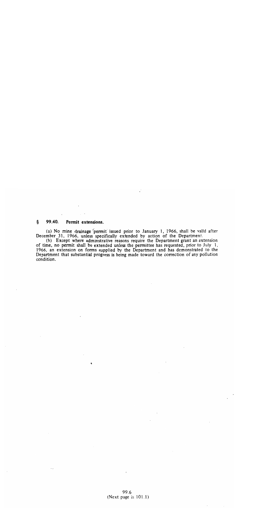#### §. 99.40. Permit extensions.

(a) No mine drainage permit issued prior to January 1, 1966, shall be valid after<br>December 31, 1966, unless specifically extended by action of the Department.<br>(b) Except where administrative reasons require the Department

of time, no permit shall be extended unless the permittee has requested, prior to July 1, 1966, an extension on forms supplied by the Department and has demonstrated to the Department that substantial progress is being made toward the correction of any pollution condition.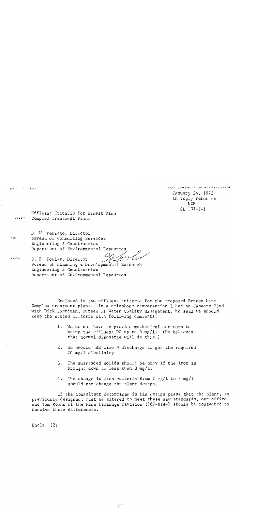$\tau \circ$  :

FROM:

COM JONWEALTH OF PENNSYLVANIA January 24, 1973 In reply refer to WCE  $SL$  107-1-1

Effluent Criteria for Ernest Mine SJECT: Complex Treatment Plant

D. W. Perrego, Director Bureau of Consulting Services Engineering & Construction Department of Environmental Resources

D. E. Fowler, Director بخ بر بي<br>م

Bureau of Planning & Developmental Research Engineering & Construction Department of Environmental Resources

Enclosed is the effluent criteria for the proposed Ernest Mine Complex treatment plant. In a telephone conversation I had on January 23rd with Dick Boardman, Bureau of Water Quality Management, he said we should keep the stated criteria with following comments:

- 1. We do not have to provide mechanical aerators to bring the effluent DO up to 5 mg/1. (He believes that normal discharge will do this.)
- 2. We should add lime @ discharge to get the required 20 mg/l alkalinity.
- 3. The suspended solids should be okay if the iron is brought down to less than  $3 \text{ mg}/1$ .
- 4. The change in iron criteria from 7 mg/l to 3 mg/l should not change the plant design.

If the consultant determines in his design phase that the plant, as previously designed, must be altered to meet these new standards, our office and Tom Koons of the Mine Drainage Division (787-8184) should be contacted to resolve these differences.

Encls.  $(2)$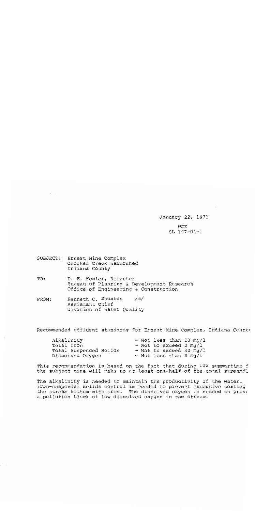January 22, 1973 **WCE**  $SL 107 - 01 - 1$ 

SUBJECT: Ernest Mine Complex Crooked Creek Watershed Indiana County

D. E. Fowler, Director TO: Bureau of Planning & Development Research Office of Engineering & Construction

Kenneth C. Shoates  $/s/$ FROM: Assistant Chief Division of Water Quality

Recommended effluent standards for Ernest Mine Complex, Indiana County

| Alkalinity             |  | - Not less than 20 mg/l          |  |
|------------------------|--|----------------------------------|--|
| Total Iron             |  | - Not to exceed 3 mg/l           |  |
| Total Suspended Solids |  | - Not to exceed 30 $mq/1$        |  |
| Dissolved Oxygen       |  | - Not less than $3 \text{ mg}/1$ |  |

This recommendation is based on the fact that during low summertime f the subject mine will make up at least one-half of the total streamfl

The alkalinity is needed to maintain the productivity of the water. iron-suspended solids control is needed to prevent excessive coating the stream bottom with iron. The dissolved oxygen is needed to preve a pollution block of low dissolved oxygen in the stream.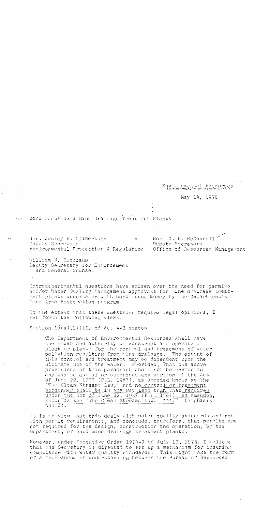Environmental Resources

May 14, 1976

Bond Issue Acid Mine Drainage Treatment Plants  $+$   $FCT$ .

Hon. C. H. McConnell Hon. Wesley E. Gilbertson & Deputy Secretary Deputy Secretary Environmental Protection & Regulation Office of Resources Management

William M. Eichbaum Deputy Secretary for Enforcement and General Counsel

 $\overline{\phantom{a}}$ 

Intradepartmental questions have arisen over the need for permits and/or Water Quality Management approvals for mine drainage treatment plants undertaken with bond issue money by the Department's Mine Area Restoration program.

To the extent that these questions require legal opinions, I set forth the following views.

Section  $16(a)(1)(II)$  of Act 443 states:

"The Department of Environmental Resources shall have the power and authority to construct and operate a plant or plants for the control and treatment of water pollution resulting from mine drainage. The extent of this control and treatment may be dependent upon the ultimate use of the water: Provided, That the above provisions of this paragraph shall not be deemed in any way to appeal or supersede any portion of the Act of June 22, 1937  $(P.L. 1987)$ , as amended known as the 'The Clean Streams Law,' and no control or treatment hereunder shall be in any way less than that required under the Act of June 22, 1937 (P.L. 1987), as amended, known as the 'The Clean Streams Law. \*\*\*." (emphasis added).

It is my view that this deals with water quality standards and not with permit requirements, and conclude, therefore, that permits are not required for the design, construction and operation, by the Department, of acid mine drainage treatment plants.

However, under Executive Order 1973-9 of July 13, 1973, I believe that the Secretary is directed to set up a mechanism for insuring compliance with water quality standards. This might take the form of a memorandum of understanding between the Bureau of Resources